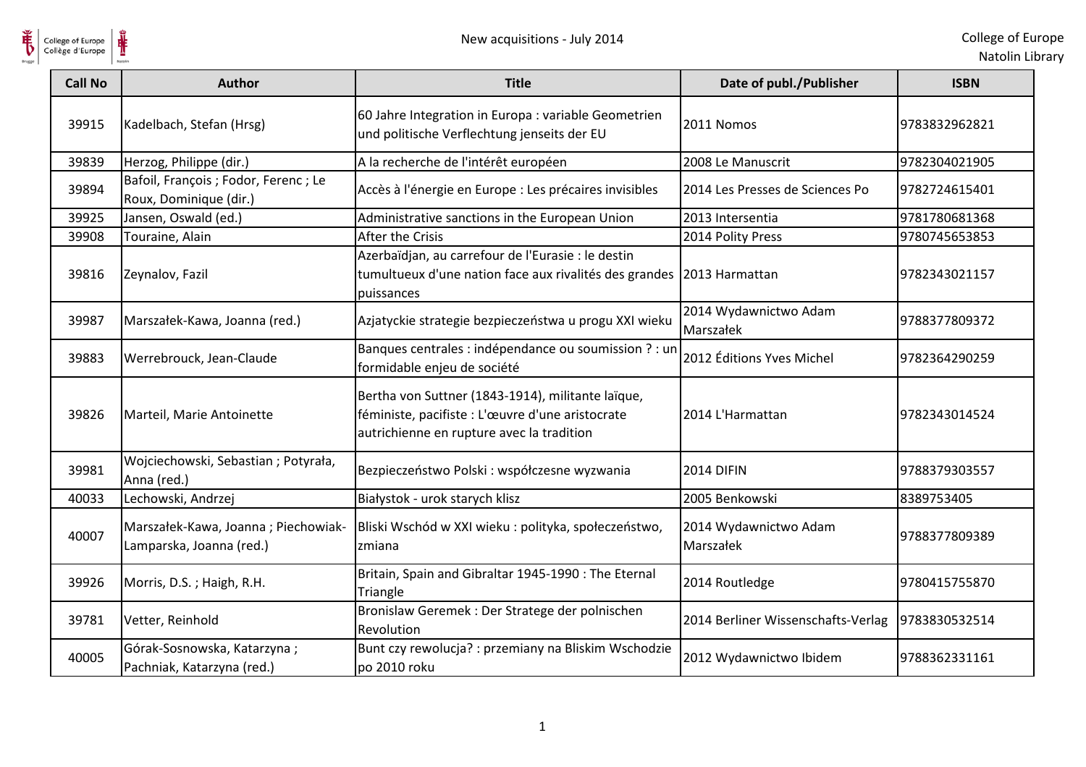

| College of Europe<br>Collège d'Europe |                                                                 | New acquisitions - July 2014                                                                                                                       |                                    | College of Eur<br>Natolin Lib |
|---------------------------------------|-----------------------------------------------------------------|----------------------------------------------------------------------------------------------------------------------------------------------------|------------------------------------|-------------------------------|
| <b>Call No</b>                        | <b>Author</b>                                                   | <b>Title</b>                                                                                                                                       | Date of publ./Publisher            | <b>ISBN</b>                   |
| 39915                                 | Kadelbach, Stefan (Hrsg)                                        | 60 Jahre Integration in Europa : variable Geometrien<br>und politische Verflechtung jenseits der EU                                                | 2011 Nomos                         | 9783832962821                 |
| 39839                                 | Herzog, Philippe (dir.)                                         | A la recherche de l'intérêt européen                                                                                                               | 2008 Le Manuscrit                  | 9782304021905                 |
| 39894                                 | Bafoil, François ; Fodor, Ferenc ; Le<br>Roux, Dominique (dir.) | Accès à l'énergie en Europe : Les précaires invisibles                                                                                             | 2014 Les Presses de Sciences Po    | 9782724615401                 |
| 39925                                 | Jansen, Oswald (ed.)                                            | Administrative sanctions in the European Union                                                                                                     | 2013 Intersentia                   | 9781780681368                 |
| 39908                                 | Touraine, Alain                                                 | After the Crisis                                                                                                                                   | 2014 Polity Press                  | 9780745653853                 |
| 39816                                 | Zeynalov, Fazil                                                 | Azerbaïdjan, au carrefour de l'Eurasie : le destin<br>tumultueux d'une nation face aux rivalités des grandes<br>puissances                         | 2013 Harmattan                     | 9782343021157                 |
| 39987                                 | Marszałek-Kawa, Joanna (red.)                                   | Azjatyckie strategie bezpieczeństwa u progu XXI wieku                                                                                              | 2014 Wydawnictwo Adam<br>Marszałek | 9788377809372                 |
| 39883                                 | Werrebrouck, Jean-Claude                                        | Banques centrales : indépendance ou soumission ? : un<br>formidable enjeu de société                                                               | 2012 Éditions Yves Michel          | 9782364290259                 |
| 39826                                 | Marteil, Marie Antoinette                                       | Bertha von Suttner (1843-1914), militante laïque,<br>féministe, pacifiste : L'œuvre d'une aristocrate<br>autrichienne en rupture avec la tradition | 2014 L'Harmattan                   | 9782343014524                 |
| 39981                                 | Wojciechowski, Sebastian; Potyrała,<br>Anna (red.)              | Bezpieczeństwo Polski : współczesne wyzwania                                                                                                       | <b>2014 DIFIN</b>                  | 9788379303557                 |
| 40033                                 | Lechowski, Andrzej                                              | Białystok - urok starych klisz                                                                                                                     | 2005 Benkowski                     | 8389753405                    |
| 40007                                 | Marszałek-Kawa, Joanna; Piechowiak-<br>Lamparska, Joanna (red.) | Bliski Wschód w XXI wieku : polityka, społeczeństwo,<br>zmiana                                                                                     | 2014 Wydawnictwo Adam<br>Marszałek | 9788377809389                 |
| 39926                                 | Morris, D.S.; Haigh, R.H.                                       | Britain, Spain and Gibraltar 1945-1990 : The Eternal<br>Triangle                                                                                   | 2014 Routledge                     | 9780415755870                 |
| 39781                                 | Vetter, Reinhold                                                | Bronislaw Geremek : Der Stratege der polnischen<br>Revolution                                                                                      | 2014 Berliner Wissenschafts-Verlag | 9783830532514                 |
| 40005                                 | Górak-Sosnowska, Katarzyna;<br>Pachniak, Katarzyna (red.)       | Bunt czy rewolucja? : przemiany na Bliskim Wschodzie<br>po 2010 roku                                                                               | 2012 Wydawnictwo Ibidem            | 9788362331161                 |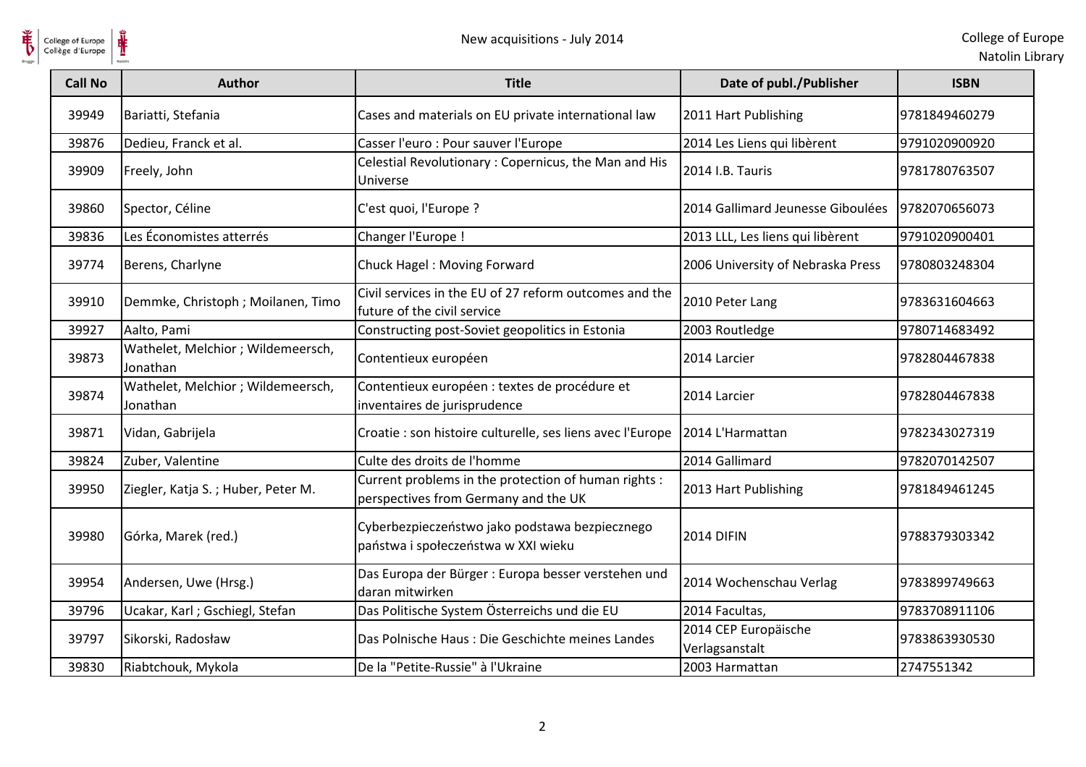

| College of Europe<br>Collège d'Europe |                                                | New acquisitions - July 2014                                                                 |                                        | College of Eur<br>Natolin Lib |
|---------------------------------------|------------------------------------------------|----------------------------------------------------------------------------------------------|----------------------------------------|-------------------------------|
| <b>Call No</b>                        | <b>Author</b>                                  | <b>Title</b>                                                                                 | Date of publ./Publisher                | <b>ISBN</b>                   |
| 39949                                 | Bariatti, Stefania                             | Cases and materials on EU private international law                                          | 2011 Hart Publishing                   | 9781849460279                 |
| 39876                                 | Dedieu, Franck et al.                          | Casser l'euro : Pour sauver l'Europe                                                         | 2014 Les Liens qui libèrent            | 9791020900920                 |
| 39909                                 | Freely, John                                   | Celestial Revolutionary: Copernicus, the Man and His<br>Universe                             | 2014 I.B. Tauris                       | 9781780763507                 |
| 39860                                 | Spector, Céline                                | C'est quoi, l'Europe ?                                                                       | 2014 Gallimard Jeunesse Giboulées      | 9782070656073                 |
| 39836                                 | Les Économistes atterrés                       | Changer l'Europe !                                                                           | 2013 LLL, Les liens qui libèrent       | 9791020900401                 |
| 39774                                 | Berens, Charlyne                               | Chuck Hagel: Moving Forward                                                                  | 2006 University of Nebraska Press      | 9780803248304                 |
| 39910                                 | Demmke, Christoph; Moilanen, Timo              | Civil services in the EU of 27 reform outcomes and the<br>future of the civil service        | 2010 Peter Lang                        | 9783631604663                 |
| 39927                                 | Aalto, Pami                                    | Constructing post-Soviet geopolitics in Estonia                                              | 2003 Routledge                         | 9780714683492                 |
| 39873                                 | Wathelet, Melchior; Wildemeersch,<br>Jonathan  | Contentieux européen                                                                         | 2014 Larcier                           | 9782804467838                 |
| 39874                                 | Wathelet, Melchior ; Wildemeersch,<br>Jonathan | Contentieux européen : textes de procédure et<br>inventaires de jurisprudence                | 2014 Larcier                           | 9782804467838                 |
| 39871                                 | Vidan, Gabrijela                               | Croatie : son histoire culturelle, ses liens avec l'Europe                                   | 2014 L'Harmattan                       | 9782343027319                 |
| 39824                                 | Zuber, Valentine                               | Culte des droits de l'homme                                                                  | 2014 Gallimard                         | 9782070142507                 |
| 39950                                 | Ziegler, Katja S.; Huber, Peter M.             | Current problems in the protection of human rights :<br>perspectives from Germany and the UK | 2013 Hart Publishing                   | 9781849461245                 |
| 39980                                 | Górka, Marek (red.)                            | Cyberbezpieczeństwo jako podstawa bezpiecznego<br>państwa i społeczeństwa w XXI wieku        | <b>2014 DIFIN</b>                      | 9788379303342                 |
| 39954                                 | Andersen, Uwe (Hrsg.)                          | Das Europa der Bürger : Europa besser verstehen und<br>daran mitwirken                       | 2014 Wochenschau Verlag                | 9783899749663                 |
| 39796                                 | Ucakar, Karl; Gschiegl, Stefan                 | Das Politische System Österreichs und die EU                                                 | 2014 Facultas,                         | 9783708911106                 |
| 39797                                 | Sikorski, Radosław                             | Das Polnische Haus: Die Geschichte meines Landes                                             | 2014 CEP Europäische<br>Verlagsanstalt | 9783863930530                 |
| 39830                                 | Riabtchouk, Mykola                             | De la "Petite-Russie" à l'Ukraine                                                            | 2003 Harmattan                         | 2747551342                    |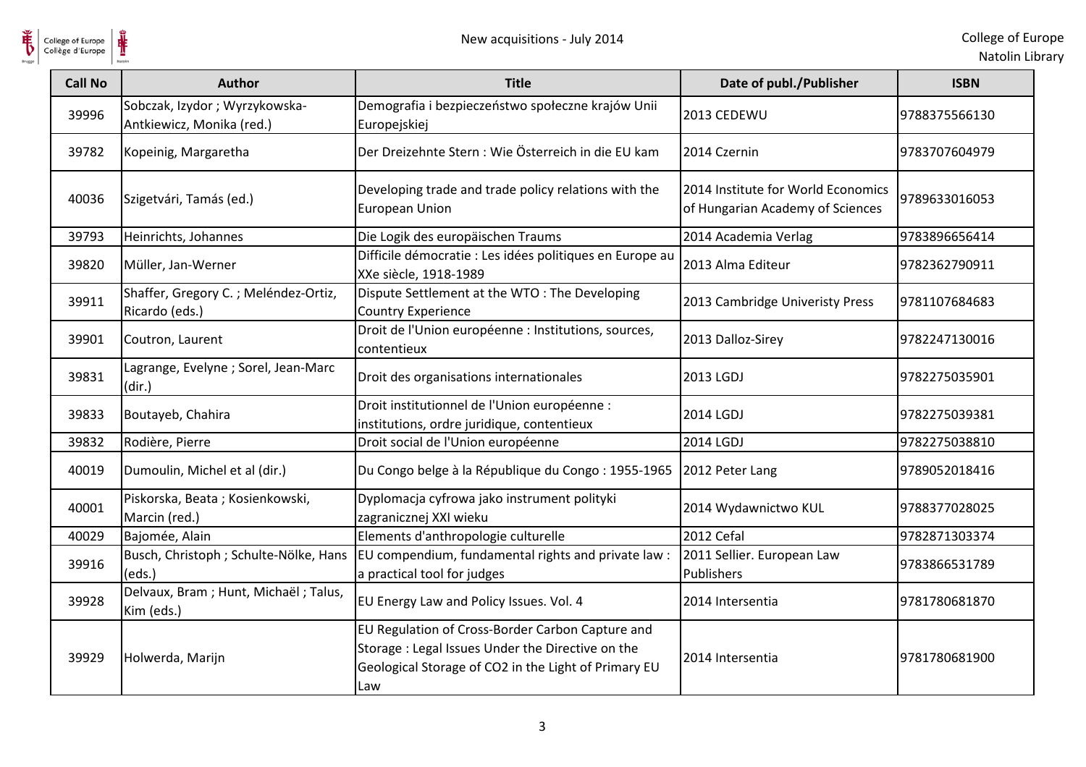

| College of Europe<br>Collège d'Europe | Ů                                                          | New acquisitions - July 2014                                                                                                                                         |                                                                        | College of Eu<br>Natolin Lib |
|---------------------------------------|------------------------------------------------------------|----------------------------------------------------------------------------------------------------------------------------------------------------------------------|------------------------------------------------------------------------|------------------------------|
| <b>Call No</b>                        | <b>Author</b>                                              | <b>Title</b>                                                                                                                                                         | Date of publ./Publisher                                                | <b>ISBN</b>                  |
| 39996                                 | Sobczak, Izydor; Wyrzykowska-<br>Antkiewicz, Monika (red.) | Demografia i bezpieczeństwo społeczne krajów Unii<br>Europejskiej                                                                                                    | 2013 CEDEWU                                                            | 9788375566130                |
| 39782                                 | Kopeinig, Margaretha                                       | Der Dreizehnte Stern: Wie Österreich in die EU kam                                                                                                                   | 2014 Czernin                                                           | 9783707604979                |
| 40036                                 | Szigetvári, Tamás (ed.)                                    | Developing trade and trade policy relations with the<br><b>European Union</b>                                                                                        | 2014 Institute for World Economics<br>of Hungarian Academy of Sciences | 9789633016053                |
| 39793                                 | Heinrichts, Johannes                                       | Die Logik des europäischen Traums                                                                                                                                    | 2014 Academia Verlag                                                   | 9783896656414                |
| 39820                                 | Müller, Jan-Werner                                         | Difficile démocratie : Les idées politiques en Europe au<br>XXe siècle, 1918-1989                                                                                    | 2013 Alma Editeur                                                      | 9782362790911                |
| 39911                                 | Shaffer, Gregory C.; Meléndez-Ortiz,<br>Ricardo (eds.)     | Dispute Settlement at the WTO: The Developing<br><b>Country Experience</b>                                                                                           | 2013 Cambridge Univeristy Press                                        | 9781107684683                |
| 39901                                 | Coutron, Laurent                                           | Droit de l'Union européenne : Institutions, sources,<br>contentieux                                                                                                  | 2013 Dalloz-Sirey                                                      | 9782247130016                |
| 39831                                 | Lagrange, Evelyne ; Sorel, Jean-Marc<br>(dir.)             | Droit des organisations internationales                                                                                                                              | 2013 LGDJ                                                              | 9782275035901                |
| 39833                                 | Boutayeb, Chahira                                          | Droit institutionnel de l'Union européenne :<br>institutions, ordre juridique, contentieux                                                                           | 2014 LGDJ                                                              | 9782275039381                |
| 39832                                 | Rodière, Pierre                                            | Droit social de l'Union européenne                                                                                                                                   | 2014 LGDJ                                                              | 9782275038810                |
| 40019                                 | Dumoulin, Michel et al (dir.)                              | Du Congo belge à la République du Congo : 1955-1965                                                                                                                  | 2012 Peter Lang                                                        | 9789052018416                |
| 40001                                 | Piskorska, Beata; Kosienkowski,<br>Marcin (red.)           | Dyplomacja cyfrowa jako instrument polityki<br>zagranicznej XXI wieku                                                                                                | 2014 Wydawnictwo KUL                                                   | 9788377028025                |
| 40029                                 | Bajomée, Alain                                             | Elements d'anthropologie culturelle                                                                                                                                  | 2012 Cefal                                                             | 9782871303374                |
| 39916                                 | Busch, Christoph ; Schulte-Nölke, Hans<br>(eds.)           | EU compendium, fundamental rights and private law :<br>a practical tool for judges                                                                                   | 2011 Sellier. European Law<br>Publishers                               | 9783866531789                |
| 39928                                 | Delvaux, Bram; Hunt, Michaël; Talus,<br>Kim (eds.)         | EU Energy Law and Policy Issues. Vol. 4                                                                                                                              | 2014 Intersentia                                                       | 9781780681870                |
| 39929                                 | Holwerda, Marijn                                           | EU Regulation of Cross-Border Carbon Capture and<br>Storage : Legal Issues Under the Directive on the<br>Geological Storage of CO2 in the Light of Primary EU<br>Law | 2014 Intersentia                                                       | 9781780681900                |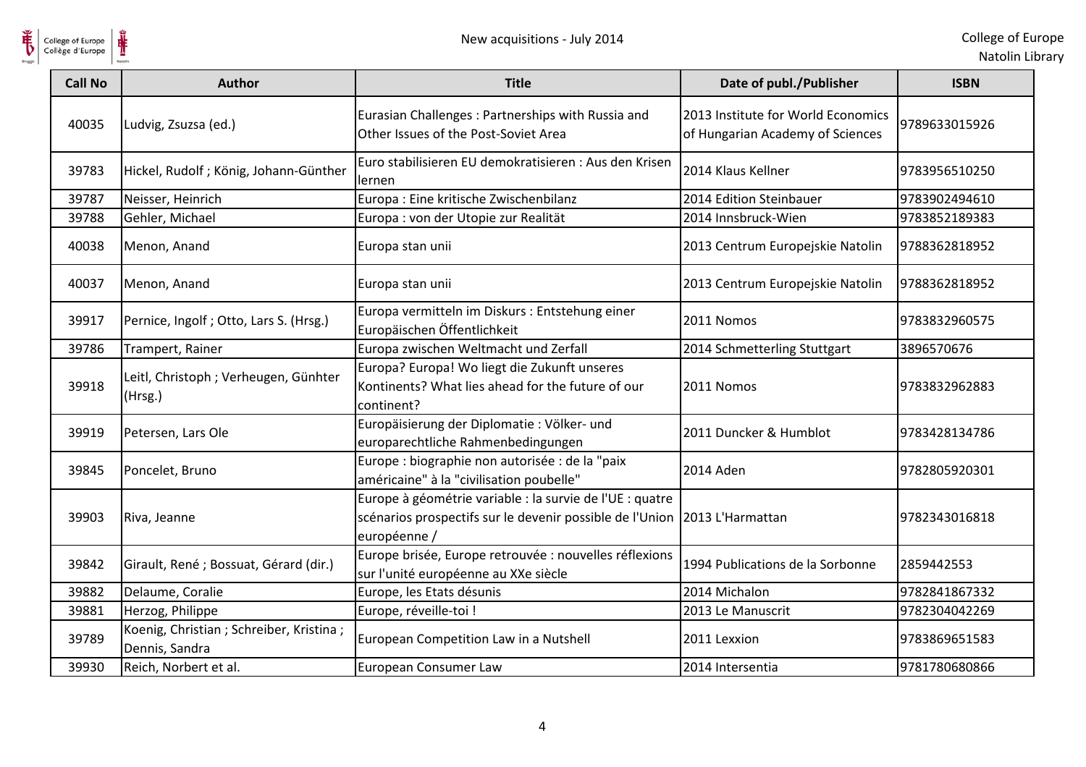

| College of Europe<br>Collège d'Europe |                                                             | New acquisitions - July 2014                                                                                                                          |                                                                        | College of Eur<br>Natolin Lib |
|---------------------------------------|-------------------------------------------------------------|-------------------------------------------------------------------------------------------------------------------------------------------------------|------------------------------------------------------------------------|-------------------------------|
| <b>Call No</b>                        | <b>Author</b>                                               | <b>Title</b>                                                                                                                                          | Date of publ./Publisher                                                | <b>ISBN</b>                   |
| 40035                                 | Ludvig, Zsuzsa (ed.)                                        | Eurasian Challenges: Partnerships with Russia and<br>Other Issues of the Post-Soviet Area                                                             | 2013 Institute for World Economics<br>of Hungarian Academy of Sciences | 9789633015926                 |
| 39783                                 | Hickel, Rudolf; König, Johann-Günther                       | Euro stabilisieren EU demokratisieren : Aus den Krisen<br>lernen                                                                                      | 2014 Klaus Kellner                                                     | 9783956510250                 |
| 39787                                 | Neisser, Heinrich                                           | Europa : Eine kritische Zwischenbilanz                                                                                                                | 2014 Edition Steinbauer                                                | 9783902494610                 |
| 39788                                 | Gehler, Michael                                             | Europa : von der Utopie zur Realität                                                                                                                  | 2014 Innsbruck-Wien                                                    | 9783852189383                 |
| 40038                                 | Menon, Anand                                                | Europa stan unii                                                                                                                                      | 2013 Centrum Europejskie Natolin                                       | 9788362818952                 |
| 40037                                 | Menon, Anand                                                | Europa stan unii                                                                                                                                      | 2013 Centrum Europejskie Natolin                                       | 9788362818952                 |
| 39917                                 | Pernice, Ingolf; Otto, Lars S. (Hrsg.)                      | Europa vermitteln im Diskurs : Entstehung einer<br>Europäischen Öffentlichkeit                                                                        | 2011 Nomos                                                             | 9783832960575                 |
| 39786                                 | Trampert, Rainer                                            | Europa zwischen Weltmacht und Zerfall                                                                                                                 | 2014 Schmetterling Stuttgart                                           | 3896570676                    |
| 39918                                 | Leitl, Christoph ; Verheugen, Günhter<br>(Hrsg.)            | Europa? Europa! Wo liegt die Zukunft unseres<br>Kontinents? What lies ahead for the future of our<br>continent?                                       | 2011 Nomos                                                             | 9783832962883                 |
| 39919                                 | Petersen, Lars Ole                                          | Europäisierung der Diplomatie : Völker- und<br>europarechtliche Rahmenbedingungen                                                                     | 2011 Duncker & Humblot                                                 | 9783428134786                 |
| 39845                                 | Poncelet, Bruno                                             | Europe : biographie non autorisée : de la "paix<br>américaine" à la "civilisation poubelle"                                                           | 2014 Aden                                                              | 9782805920301                 |
| 39903                                 | Riva, Jeanne                                                | Europe à géométrie variable : la survie de l'UE : quatre<br>scénarios prospectifs sur le devenir possible de l'Union 2013 L'Harmattan<br>européenne / |                                                                        | 9782343016818                 |
| 39842                                 | Girault, René ; Bossuat, Gérard (dir.)                      | Europe brisée, Europe retrouvée : nouvelles réflexions<br>sur l'unité européenne au XXe siècle                                                        | 1994 Publications de la Sorbonne                                       | 2859442553                    |
| 39882                                 | Delaume, Coralie                                            | Europe, les Etats désunis                                                                                                                             | 2014 Michalon                                                          | 9782841867332                 |
| 39881                                 | Herzog, Philippe                                            | Europe, réveille-toi !                                                                                                                                | 2013 Le Manuscrit                                                      | 9782304042269                 |
| 39789                                 | Koenig, Christian ; Schreiber, Kristina ;<br>Dennis, Sandra | European Competition Law in a Nutshell                                                                                                                | 2011 Lexxion                                                           | 9783869651583                 |
| 39930                                 | Reich, Norbert et al.                                       | European Consumer Law                                                                                                                                 | 2014 Intersentia                                                       | 9781780680866                 |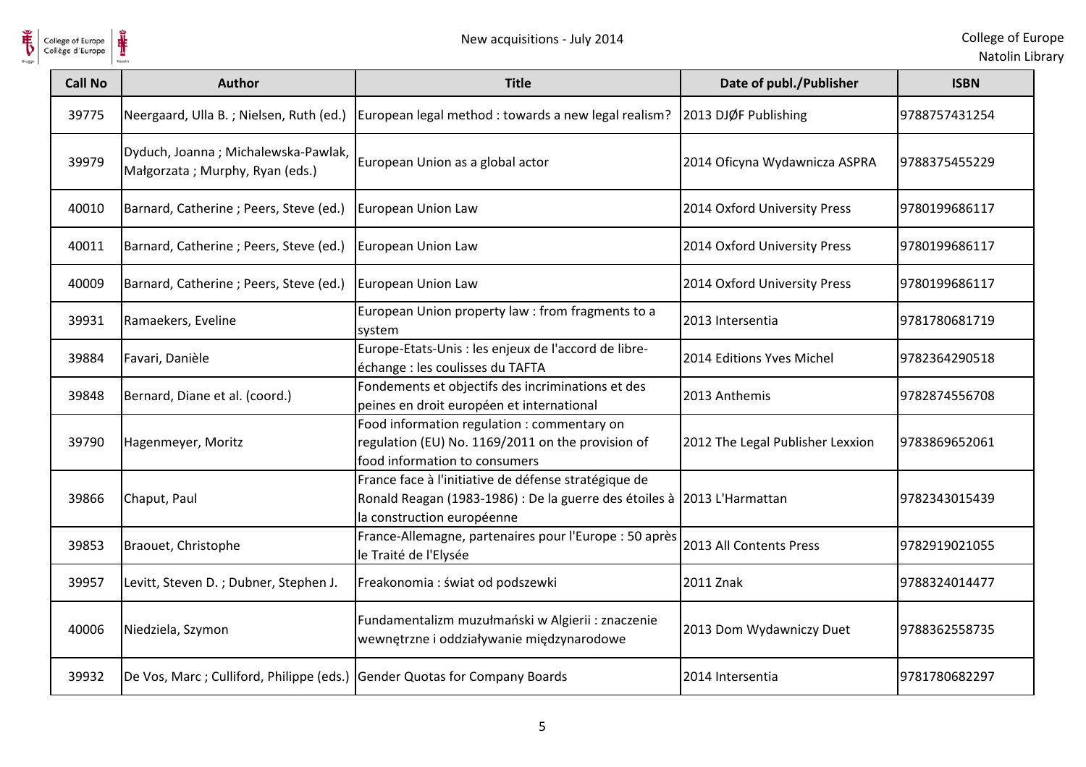

| <b>Call No</b> | <b>Author</b>                                                          | <b>Title</b>                                                                                                                                                  | Date of publ./Publisher          | <b>ISBN</b>    |
|----------------|------------------------------------------------------------------------|---------------------------------------------------------------------------------------------------------------------------------------------------------------|----------------------------------|----------------|
| 39775          | Neergaard, Ulla B.; Nielsen, Ruth (ed.)                                | European legal method : towards a new legal realism?                                                                                                          | 2013 DJØF Publishing             | 9788757431254  |
| 39979          | Dyduch, Joanna; Michalewska-Pawlak,<br>Małgorzata; Murphy, Ryan (eds.) | European Union as a global actor                                                                                                                              | 2014 Oficyna Wydawnicza ASPRA    | 19788375455229 |
| 40010          | Barnard, Catherine; Peers, Steve (ed.)                                 | <b>European Union Law</b>                                                                                                                                     | 2014 Oxford University Press     | 9780199686117  |
| 40011          | Barnard, Catherine; Peers, Steve (ed.)                                 | European Union Law                                                                                                                                            | 2014 Oxford University Press     | 19780199686117 |
| 40009          | Barnard, Catherine; Peers, Steve (ed.)                                 | European Union Law                                                                                                                                            | 2014 Oxford University Press     | 9780199686117  |
| 39931          | Ramaekers, Eveline                                                     | European Union property law : from fragments to a<br>system                                                                                                   | 2013 Intersentia                 | 9781780681719  |
| 39884          | Favari, Danièle                                                        | Europe-Etats-Unis : les enjeux de l'accord de libre-<br>échange : les coulisses du TAFTA                                                                      | 2014 Editions Yves Michel        | 9782364290518  |
| 39848          | Bernard, Diane et al. (coord.)                                         | Fondements et objectifs des incriminations et des<br>peines en droit européen et international                                                                | 2013 Anthemis                    | 9782874556708  |
| 39790          | Hagenmeyer, Moritz                                                     | Food information regulation : commentary on<br>regulation (EU) No. 1169/2011 on the provision of<br>food information to consumers                             | 2012 The Legal Publisher Lexxion | 9783869652061  |
| 39866          | Chaput, Paul                                                           | France face à l'initiative de défense stratégique de<br>Ronald Reagan (1983-1986) : De la guerre des étoiles à 2013 L'Harmattan<br>la construction européenne |                                  | 9782343015439  |
| 39853          | Braouet, Christophe                                                    | France-Allemagne, partenaires pour l'Europe : 50 après<br>le Traité de l'Elysée                                                                               | 2013 All Contents Press          | 9782919021055  |
| 39957          | Levitt, Steven D.; Dubner, Stephen J.                                  | Freakonomia : świat od podszewki                                                                                                                              | 2011 Znak                        | 9788324014477  |
| 40006          | Niedziela, Szymon                                                      | Fundamentalizm muzułmański w Algierii : znaczenie<br>wewnętrzne i oddziaływanie międzynarodowe                                                                | 2013 Dom Wydawniczy Duet         | 9788362558735  |
| 39932          | De Vos, Marc; Culliford, Philippe (eds.)                               | <b>Gender Quotas for Company Boards</b>                                                                                                                       | 2014 Intersentia                 | 19781780682297 |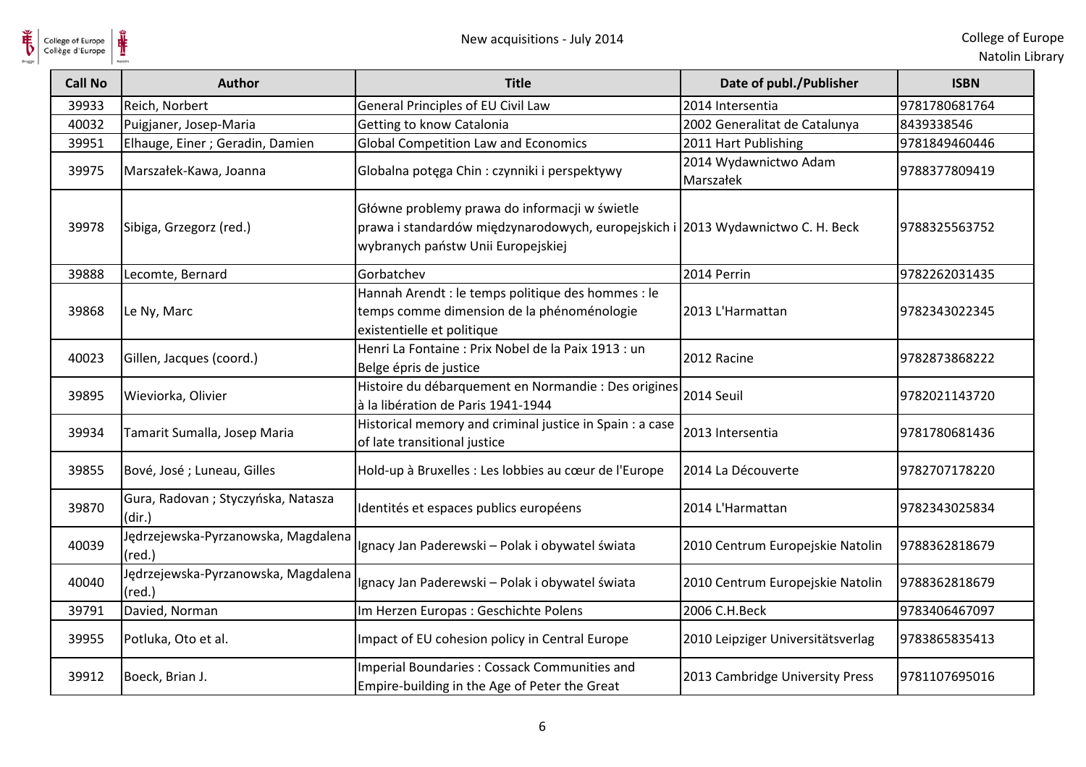| <b>Call No</b> | <b>Author</b>                                          | <b>Title</b>                                                                                                                                                           | Date of publ./Publisher            | <b>ISBN</b>   |
|----------------|--------------------------------------------------------|------------------------------------------------------------------------------------------------------------------------------------------------------------------------|------------------------------------|---------------|
| 39933          | Reich, Norbert                                         | General Principles of EU Civil Law                                                                                                                                     | 2014 Intersentia                   | 9781780681764 |
| 40032          | Puigjaner, Josep-Maria                                 | Getting to know Catalonia                                                                                                                                              | 2002 Generalitat de Catalunya      | 8439338546    |
| 39951          | Elhauge, Einer ; Geradin, Damien                       | Global Competition Law and Economics                                                                                                                                   | 2011 Hart Publishing               | 9781849460446 |
| 39975          | Marszałek-Kawa, Joanna                                 | Globalna potęga Chin: czynniki i perspektywy                                                                                                                           | 2014 Wydawnictwo Adam<br>Marszałek | 9788377809419 |
| 39978          | Sibiga, Grzegorz (red.)                                | Główne problemy prawa do informacji w świetle<br>prawa i standardów międzynarodowych, europejskich i 2013 Wydawnictwo C. H. Beck<br>wybranych państw Unii Europejskiej |                                    | 9788325563752 |
| 39888          | Lecomte, Bernard                                       | Gorbatchev                                                                                                                                                             | 2014 Perrin                        | 9782262031435 |
| 39868          | Le Ny, Marc                                            | Hannah Arendt : le temps politique des hommes : le<br>temps comme dimension de la phénoménologie<br>existentielle et politique                                         | 2013 L'Harmattan                   | 9782343022345 |
| 40023          | Gillen, Jacques (coord.)                               | Henri La Fontaine : Prix Nobel de la Paix 1913 : un<br>Belge épris de justice                                                                                          | 2012 Racine                        | 9782873868222 |
| 39895          | Wieviorka, Olivier                                     | Histoire du débarquement en Normandie : Des origines<br>à la libération de Paris 1941-1944                                                                             | 2014 Seuil                         | 9782021143720 |
| 39934          | Tamarit Sumalla, Josep Maria                           | Historical memory and criminal justice in Spain : a case<br>of late transitional justice                                                                               | 2013 Intersentia                   | 9781780681436 |
| 39855          | Bové, José ; Luneau, Gilles                            | Hold-up à Bruxelles : Les lobbies au cœur de l'Europe                                                                                                                  | 2014 La Découverte                 | 9782707178220 |
| 39870          | Gura, Radovan; Styczyńska, Natasza<br>(dir.)           | Identités et espaces publics européens                                                                                                                                 | 2014 L'Harmattan                   | 9782343025834 |
| 40039          | Jędrzejewska-Pyrzanowska, Magdalena<br>$(\text{red.})$ | Ignacy Jan Paderewski - Polak i obywatel świata                                                                                                                        | 2010 Centrum Europejskie Natolin   | 9788362818679 |
| 40040          | Jędrzejewska-Pyrzanowska, Magdalena<br>$(\text{red.})$ | Ignacy Jan Paderewski - Polak i obywatel świata                                                                                                                        | 2010 Centrum Europejskie Natolin   | 9788362818679 |
| 39791          | Davied, Norman                                         | Im Herzen Europas : Geschichte Polens                                                                                                                                  | 2006 C.H.Beck                      | 9783406467097 |
| 39955          | Potluka, Oto et al.                                    | Impact of EU cohesion policy in Central Europe                                                                                                                         | 2010 Leipziger Universitätsverlag  | 9783865835413 |
| 39912          | Boeck, Brian J.                                        | Imperial Boundaries : Cossack Communities and<br>Empire-building in the Age of Peter the Great                                                                         | 2013 Cambridge University Press    | 9781107695016 |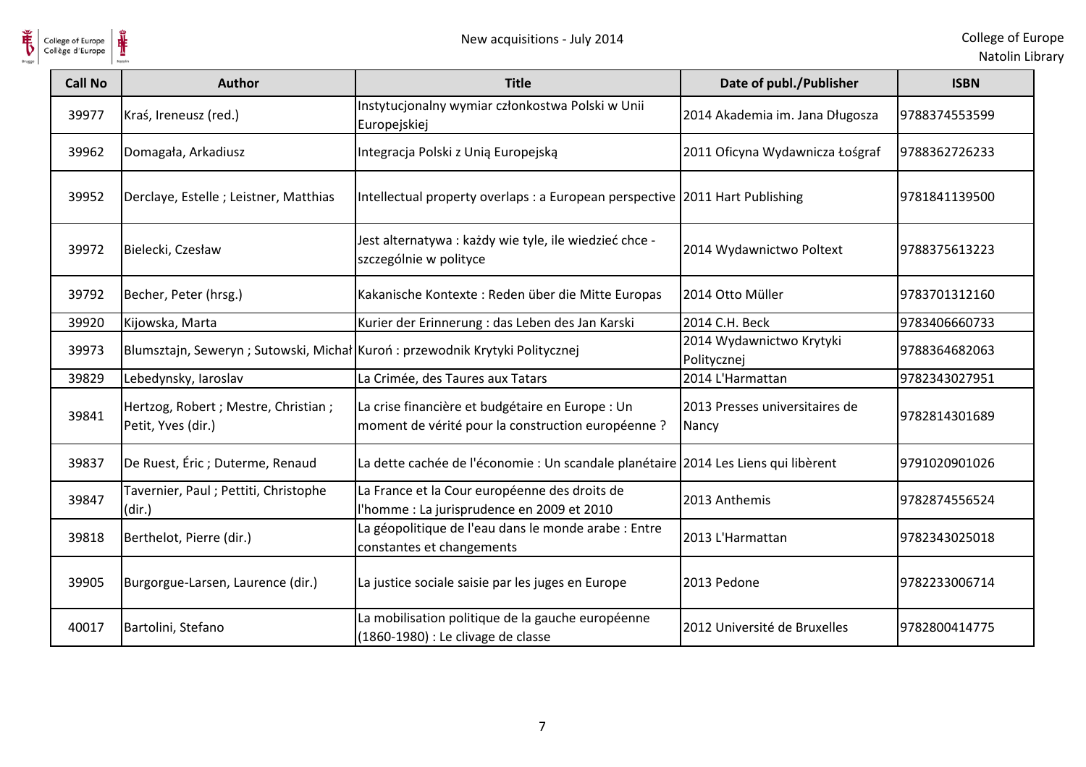

| <b>Call No</b> | <b>Author</b>                                                                 | <b>Title</b>                                                                                           | Date of publ./Publisher                 | <b>ISBN</b>   |
|----------------|-------------------------------------------------------------------------------|--------------------------------------------------------------------------------------------------------|-----------------------------------------|---------------|
| 39977          | Kraś, Ireneusz (red.)                                                         | Instytucjonalny wymiar członkostwa Polski w Unii<br>Europejskiej                                       | 2014 Akademia im. Jana Długosza         | 9788374553599 |
| 39962          | Domagała, Arkadiusz                                                           | Integracja Polski z Unią Europejską                                                                    | 2011 Oficyna Wydawnicza Łośgraf         | 9788362726233 |
| 39952          | Derclaye, Estelle ; Leistner, Matthias                                        | Intellectual property overlaps : a European perspective 2011 Hart Publishing                           |                                         | 9781841139500 |
| 39972          | Bielecki, Czesław                                                             | Jest alternatywa : każdy wie tyle, ile wiedzieć chce -<br>szczególnie w polityce                       | 2014 Wydawnictwo Poltext                | 9788375613223 |
| 39792          | Becher, Peter (hrsg.)                                                         | Kakanische Kontexte: Reden über die Mitte Europas                                                      | 2014 Otto Müller                        | 9783701312160 |
| 39920          | Kijowska, Marta                                                               | Kurier der Erinnerung : das Leben des Jan Karski                                                       | 2014 C.H. Beck                          | 9783406660733 |
| 39973          | Blumsztajn, Seweryn ; Sutowski, Michał Kuroń : przewodnik Krytyki Politycznej |                                                                                                        | 2014 Wydawnictwo Krytyki<br>Politycznej | 9788364682063 |
| 39829          | Lebedynsky, Iaroslav                                                          | La Crimée, des Taures aux Tatars                                                                       | 2014 L'Harmattan                        | 9782343027951 |
| 39841          | Hertzog, Robert ; Mestre, Christian ;<br>Petit, Yves (dir.)                   | La crise financière et budgétaire en Europe : Un<br>moment de vérité pour la construction européenne ? | 2013 Presses universitaires de<br>Nancy | 9782814301689 |
| 39837          | De Ruest, Éric ; Duterme, Renaud                                              | La dette cachée de l'économie : Un scandale planétaire 2014 Les Liens qui libèrent                     |                                         | 9791020901026 |
| 39847          | Tavernier, Paul; Pettiti, Christophe<br>(dir.)                                | La France et la Cour européenne des droits de<br>l'homme : La jurisprudence en 2009 et 2010            | 2013 Anthemis                           | 9782874556524 |
| 39818          | Berthelot, Pierre (dir.)                                                      | La géopolitique de l'eau dans le monde arabe : Entre<br>constantes et changements                      | 2013 L'Harmattan                        | 9782343025018 |
| 39905          | Burgorgue-Larsen, Laurence (dir.)                                             | La justice sociale saisie par les juges en Europe                                                      | 2013 Pedone                             | 9782233006714 |
| 40017          | Bartolini, Stefano                                                            | La mobilisation politique de la gauche européenne<br>(1860-1980) : Le clivage de classe                | 2012 Université de Bruxelles            | 9782800414775 |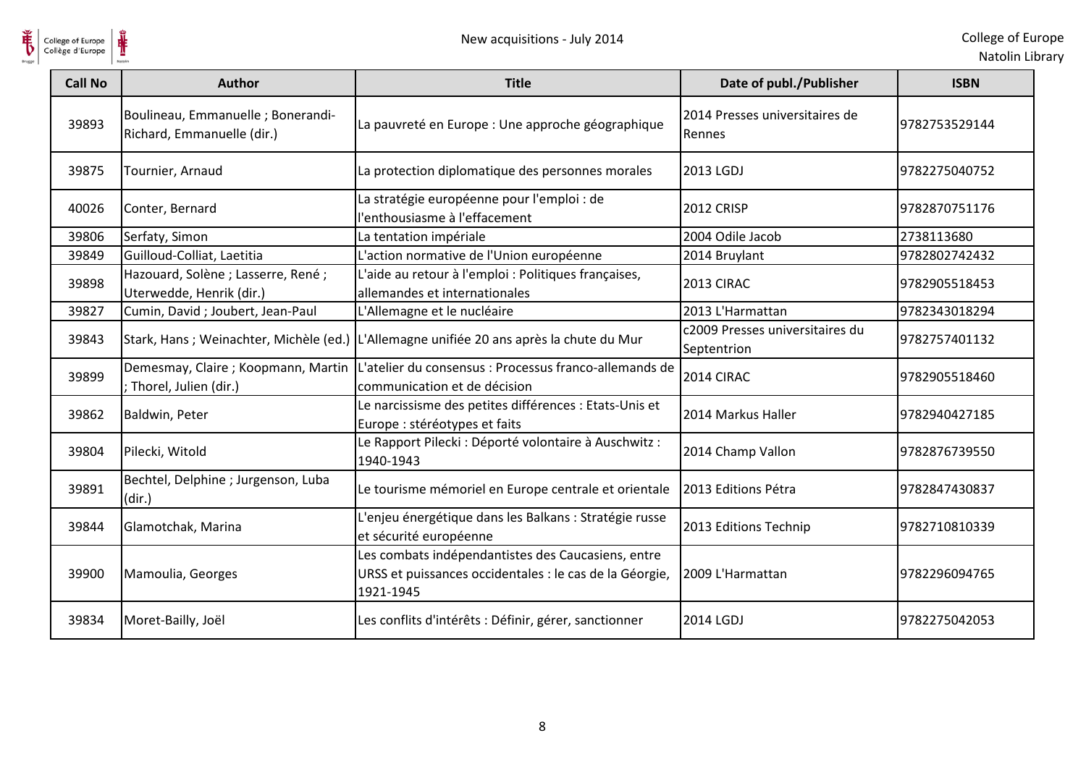

| College of Europe<br>Collège d'Europe |                                                                  | New acquisitions - July 2014                                                                                               |                                                | College of Eur<br>Natolin Lib |
|---------------------------------------|------------------------------------------------------------------|----------------------------------------------------------------------------------------------------------------------------|------------------------------------------------|-------------------------------|
| <b>Call No</b>                        | <b>Author</b>                                                    | <b>Title</b>                                                                                                               | Date of publ./Publisher                        | <b>ISBN</b>                   |
| 39893                                 | Boulineau, Emmanuelle ; Bonerandi-<br>Richard, Emmanuelle (dir.) | La pauvreté en Europe : Une approche géographique                                                                          | 2014 Presses universitaires de<br>Rennes       | 9782753529144                 |
| 39875                                 | Tournier, Arnaud                                                 | La protection diplomatique des personnes morales                                                                           | 2013 LGDJ                                      | 9782275040752                 |
| 40026                                 | Conter, Bernard                                                  | La stratégie européenne pour l'emploi : de<br>'enthousiasme à l'effacement                                                 | <b>2012 CRISP</b>                              | 9782870751176                 |
| 39806                                 | Serfaty, Simon                                                   | La tentation impériale                                                                                                     | 2004 Odile Jacob                               | 2738113680                    |
| 39849                                 | Guilloud-Colliat, Laetitia                                       | L'action normative de l'Union européenne                                                                                   | 2014 Bruylant                                  | 9782802742432                 |
| 39898                                 | Hazouard, Solène ; Lasserre, René ;<br>Uterwedde, Henrik (dir.)  | L'aide au retour à l'emploi : Politiques françaises,<br>allemandes et internationales                                      | 2013 CIRAC                                     | 9782905518453                 |
| 39827                                 | Cumin, David; Joubert, Jean-Paul                                 | L'Allemagne et le nucléaire                                                                                                | 2013 L'Harmattan                               | 9782343018294                 |
| 39843                                 |                                                                  | Stark, Hans ; Weinachter, Michèle (ed.) L'Allemagne unifiée 20 ans après la chute du Mur                                   | c2009 Presses universitaires du<br>Septentrion | 9782757401132                 |
| 39899                                 | Demesmay, Claire; Koopmann, Martin<br>; Thorel, Julien (dir.)    | L'atelier du consensus : Processus franco-allemands de<br>communication et de décision                                     | 2014 CIRAC                                     | 9782905518460                 |
| 39862                                 | Baldwin, Peter                                                   | Le narcissisme des petites différences : Etats-Unis et<br>Europe : stéréotypes et faits                                    | 2014 Markus Haller                             | 9782940427185                 |
| 39804                                 | Pilecki, Witold                                                  | Le Rapport Pilecki : Déporté volontaire à Auschwitz :<br>1940-1943                                                         | 2014 Champ Vallon                              | 9782876739550                 |
| 39891                                 | Bechtel, Delphine ; Jurgenson, Luba<br>(dir.)                    | Le tourisme mémoriel en Europe centrale et orientale                                                                       | 2013 Editions Pétra                            | 9782847430837                 |
| 39844                                 | Glamotchak, Marina                                               | L'enjeu énergétique dans les Balkans : Stratégie russe<br>et sécurité européenne                                           | 2013 Editions Technip                          | 9782710810339                 |
| 39900                                 | Mamoulia, Georges                                                | Les combats indépendantistes des Caucasiens, entre<br>URSS et puissances occidentales : le cas de la Géorgie,<br>1921-1945 | 2009 L'Harmattan                               | 9782296094765                 |
| 39834                                 | Moret-Bailly, Joël                                               | Les conflits d'intérêts : Définir, gérer, sanctionner                                                                      | 2014 LGDJ                                      | 9782275042053                 |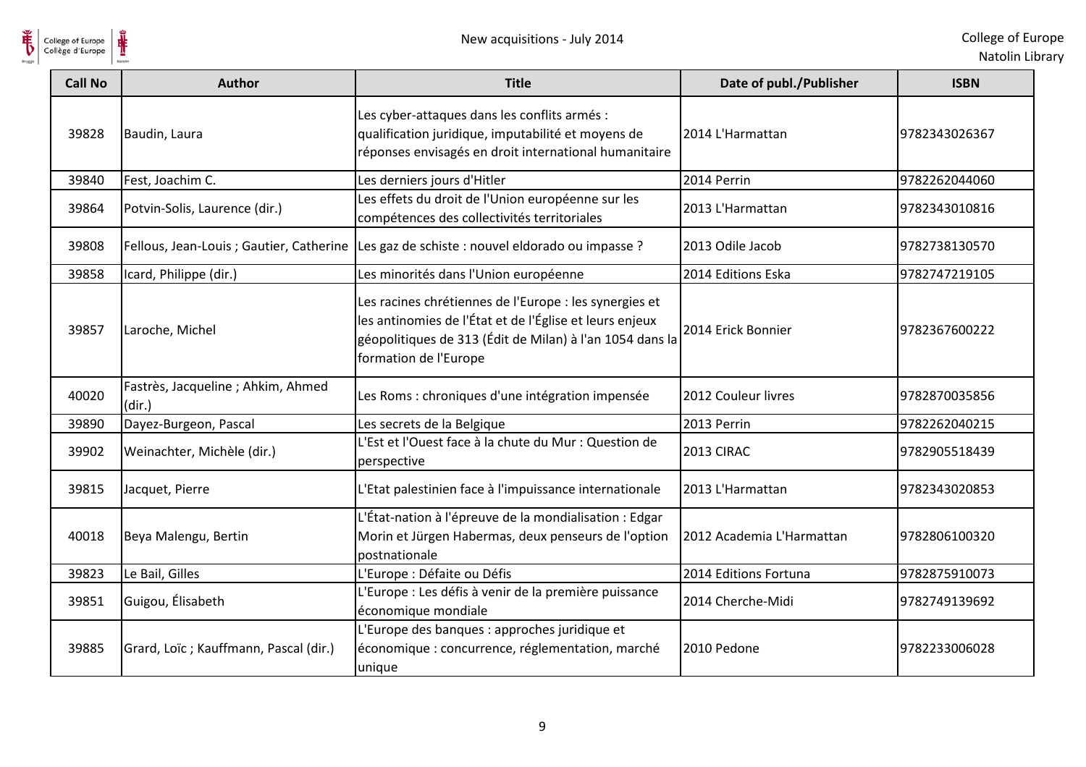

| <b>Call No</b> | <b>Author</b>                                | <b>Title</b>                                                                                                                                                                                           | Date of publ./Publisher   | <b>ISBN</b>   |
|----------------|----------------------------------------------|--------------------------------------------------------------------------------------------------------------------------------------------------------------------------------------------------------|---------------------------|---------------|
| 39828          | Baudin, Laura                                | Les cyber-attaques dans les conflits armés :<br>qualification juridique, imputabilité et moyens de<br>réponses envisagés en droit international humanitaire                                            | 2014 L'Harmattan          | 9782343026367 |
| 39840          | Fest, Joachim C.                             | Les derniers jours d'Hitler                                                                                                                                                                            | 2014 Perrin               | 9782262044060 |
| 39864          | Potvin-Solis, Laurence (dir.)                | Les effets du droit de l'Union européenne sur les<br>compétences des collectivités territoriales                                                                                                       | 2013 L'Harmattan          | 9782343010816 |
| 39808          | Fellous, Jean-Louis ; Gautier, Catherine     | Les gaz de schiste : nouvel eldorado ou impasse ?                                                                                                                                                      | 2013 Odile Jacob          | 9782738130570 |
| 39858          | Icard, Philippe (dir.)                       | Les minorités dans l'Union européenne                                                                                                                                                                  | 2014 Editions Eska        | 9782747219105 |
| 39857          | Laroche, Michel                              | Les racines chrétiennes de l'Europe : les synergies et<br>les antinomies de l'État et de l'Église et leurs enjeux<br>géopolitiques de 313 (Édit de Milan) à l'an 1054 dans la<br>formation de l'Europe | 2014 Erick Bonnier        | 9782367600222 |
| 40020          | Fastrès, Jacqueline ; Ahkim, Ahmed<br>(dir.) | Les Roms : chroniques d'une intégration impensée                                                                                                                                                       | 2012 Couleur livres       | 9782870035856 |
| 39890          | Dayez-Burgeon, Pascal                        | Les secrets de la Belgique                                                                                                                                                                             | 2013 Perrin               | 9782262040215 |
| 39902          | Weinachter, Michèle (dir.)                   | L'Est et l'Ouest face à la chute du Mur : Question de<br>perspective                                                                                                                                   | 2013 CIRAC                | 9782905518439 |
| 39815          | Jacquet, Pierre                              | L'Etat palestinien face à l'impuissance internationale                                                                                                                                                 | 2013 L'Harmattan          | 9782343020853 |
| 40018          | Beya Malengu, Bertin                         | L'État-nation à l'épreuve de la mondialisation : Edgar<br>Morin et Jürgen Habermas, deux penseurs de l'option<br>postnationale                                                                         | 2012 Academia L'Harmattan | 9782806100320 |
| 39823          | Le Bail, Gilles                              | L'Europe : Défaite ou Défis                                                                                                                                                                            | 2014 Editions Fortuna     | 9782875910073 |
| 39851          | Guigou, Élisabeth                            | L'Europe : Les défis à venir de la première puissance<br>économique mondiale                                                                                                                           | 2014 Cherche-Midi         | 9782749139692 |
| 39885          | Grard, Loïc; Kauffmann, Pascal (dir.)        | L'Europe des banques : approches juridique et<br>économique : concurrence, réglementation, marché<br>unique                                                                                            | 2010 Pedone               | 9782233006028 |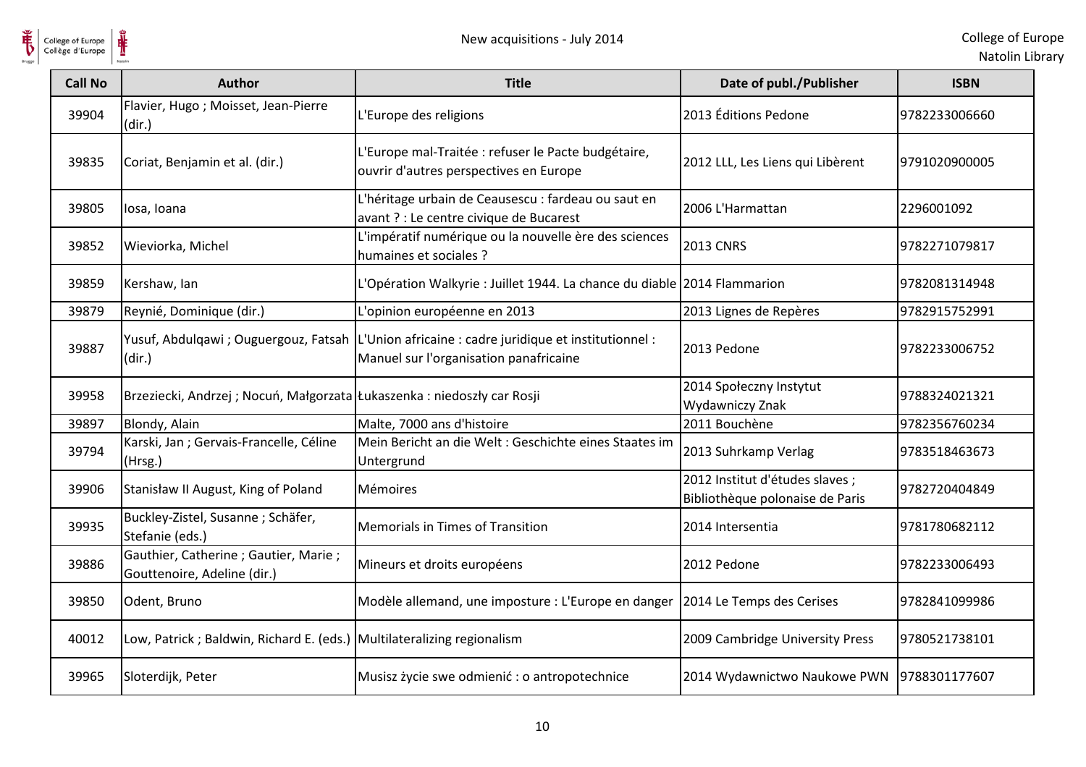

| College of Europe<br>Collège d'Europe | ⋕<br>New acquisitions - July 2014                                      |                                                                                                                                           |                                                                    | College of Eur<br>Natolin Lib |
|---------------------------------------|------------------------------------------------------------------------|-------------------------------------------------------------------------------------------------------------------------------------------|--------------------------------------------------------------------|-------------------------------|
| <b>Call No</b>                        | <b>Author</b>                                                          | <b>Title</b>                                                                                                                              | Date of publ./Publisher                                            | <b>ISBN</b>                   |
| 39904                                 | Flavier, Hugo; Moisset, Jean-Pierre<br>(dir.)                          | L'Europe des religions                                                                                                                    | 2013 Éditions Pedone                                               | 9782233006660                 |
| 39835                                 | Coriat, Benjamin et al. (dir.)                                         | L'Europe mal-Traitée : refuser le Pacte budgétaire,<br>ouvrir d'autres perspectives en Europe                                             | 2012 LLL, Les Liens qui Libèrent                                   | 9791020900005                 |
| 39805                                 | losa, Ioana                                                            | L'héritage urbain de Ceausescu : fardeau ou saut en<br>avant ? : Le centre civique de Bucarest                                            | 2006 L'Harmattan                                                   | 2296001092                    |
| 39852                                 | Wieviorka, Michel                                                      | L'impératif numérique ou la nouvelle ère des sciences<br>humaines et sociales ?                                                           | <b>2013 CNRS</b>                                                   | 9782271079817                 |
| 39859                                 | Kershaw, Ian                                                           | L'Opération Walkyrie : Juillet 1944. La chance du diable 2014 Flammarion                                                                  |                                                                    | 9782081314948                 |
| 39879                                 | Reynié, Dominique (dir.)                                               | L'opinion européenne en 2013                                                                                                              | 2013 Lignes de Repères                                             | 9782915752991                 |
| 39887                                 | (dir.)                                                                 | Yusuf, Abdulqawi ; Ouguergouz, Fatsah   L'Union africaine : cadre juridique et institutionnel :<br>Manuel sur l'organisation panafricaine | 2013 Pedone                                                        | 9782233006752                 |
| 39958                                 | Brzeziecki, Andrzej; Nocuń, Małgorzata Łukaszenka: niedoszły car Rosji |                                                                                                                                           | 2014 Społeczny Instytut<br>Wydawniczy Znak                         | 9788324021321                 |
| 39897                                 | Blondy, Alain                                                          | Malte, 7000 ans d'histoire                                                                                                                | 2011 Bouchène                                                      | 9782356760234                 |
| 39794                                 | Karski, Jan ; Gervais-Francelle, Céline<br>(Hrsg.)                     | Mein Bericht an die Welt : Geschichte eines Staates im<br>Untergrund                                                                      | 2013 Suhrkamp Verlag                                               | 9783518463673                 |
| 39906                                 | Stanisław II August, King of Poland                                    | Mémoires                                                                                                                                  | 2012 Institut d'études slaves ;<br>Bibliothèque polonaise de Paris | 9782720404849                 |
| 39935                                 | Buckley-Zistel, Susanne ; Schäfer,<br>Stefanie (eds.)                  | Memorials in Times of Transition                                                                                                          | 2014 Intersentia                                                   | 9781780682112                 |
| 39886                                 | Gauthier, Catherine ; Gautier, Marie ;<br>Gouttenoire, Adeline (dir.)  | Mineurs et droits européens                                                                                                               | 2012 Pedone                                                        | 9782233006493                 |
| 39850                                 | Odent, Bruno                                                           | Modèle allemand, une imposture : L'Europe en danger                                                                                       | 2014 Le Temps des Cerises                                          | 9782841099986                 |
| 40012                                 | Low, Patrick; Baldwin, Richard E. (eds.) Multilateralizing regionalism |                                                                                                                                           | 2009 Cambridge University Press                                    | 9780521738101                 |
| 39965                                 | Sloterdijk, Peter                                                      | Musisz życie swe odmienić : o antropotechnice                                                                                             | 2014 Wydawnictwo Naukowe PWN                                       | 9788301177607                 |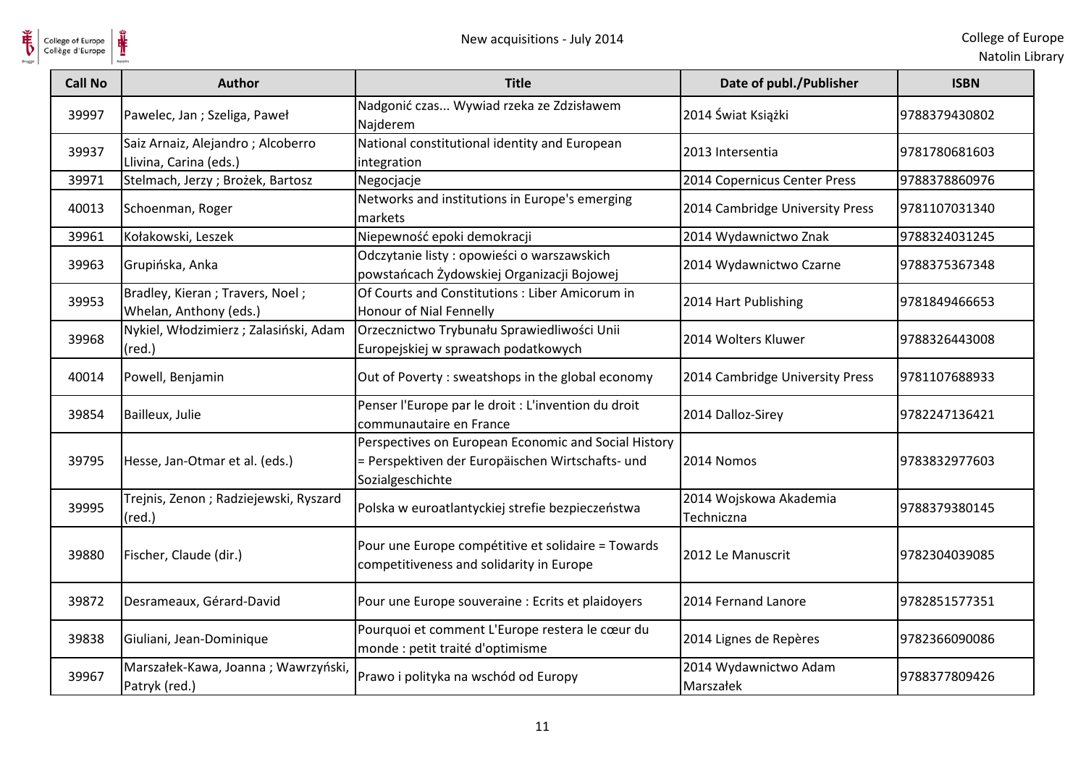

| College of Europe<br>Collège d'Europe |                                                             | New acquisitions - July 2014                                                                                                 |                                      | College of Eur<br>Natolin Lib |
|---------------------------------------|-------------------------------------------------------------|------------------------------------------------------------------------------------------------------------------------------|--------------------------------------|-------------------------------|
| <b>Call No</b>                        | <b>Author</b>                                               | <b>Title</b>                                                                                                                 | Date of publ./Publisher              | <b>ISBN</b>                   |
| 39997                                 | Pawelec, Jan; Szeliga, Paweł                                | Nadgonić czas Wywiad rzeka ze Zdzisławem<br>Najderem                                                                         | 2014 Świat Książki                   | 9788379430802                 |
| 39937                                 | Saiz Arnaiz, Alejandro; Alcoberro<br>Llivina, Carina (eds.) | National constitutional identity and European<br>integration                                                                 | 2013 Intersentia                     | 9781780681603                 |
| 39971                                 | Stelmach, Jerzy; Brożek, Bartosz                            | Negocjacje                                                                                                                   | 2014 Copernicus Center Press         | 9788378860976                 |
| 40013                                 | Schoenman, Roger                                            | Networks and institutions in Europe's emerging<br>markets                                                                    | 2014 Cambridge University Press      | 9781107031340                 |
| 39961                                 | Kołakowski, Leszek                                          | Niepewność epoki demokracji                                                                                                  | 2014 Wydawnictwo Znak                | 9788324031245                 |
| 39963                                 | Grupińska, Anka                                             | Odczytanie listy: opowieści o warszawskich<br>powstańcach Żydowskiej Organizacji Bojowej                                     | 2014 Wydawnictwo Czarne              | 9788375367348                 |
| 39953                                 | Bradley, Kieran; Travers, Noel;<br>Whelan, Anthony (eds.)   | Of Courts and Constitutions : Liber Amicorum in<br>Honour of Nial Fennelly                                                   | 2014 Hart Publishing                 | 9781849466653                 |
| 39968                                 | Nykiel, Włodzimierz; Zalasiński, Adam<br>$(\text{red.})$    | Orzecznictwo Trybunału Sprawiedliwości Unii<br>Europejskiej w sprawach podatkowych                                           | 2014 Wolters Kluwer                  | 9788326443008                 |
| 40014                                 | Powell, Benjamin                                            | Out of Poverty: sweatshops in the global economy                                                                             | 2014 Cambridge University Press      | 9781107688933                 |
| 39854                                 | Bailleux, Julie                                             | Penser l'Europe par le droit : L'invention du droit<br>communautaire en France                                               | 2014 Dalloz-Sirey                    | 9782247136421                 |
| 39795                                 | Hesse, Jan-Otmar et al. (eds.)                              | Perspectives on European Economic and Social History<br>= Perspektiven der Europäischen Wirtschafts- und<br>Sozialgeschichte | 2014 Nomos                           | 9783832977603                 |
| 39995                                 | Trejnis, Zenon; Radziejewski, Ryszard<br>$(\text{red.})$    | Polska w euroatlantyckiej strefie bezpieczeństwa                                                                             | 2014 Wojskowa Akademia<br>Techniczna | 9788379380145                 |
| 39880                                 | Fischer, Claude (dir.)                                      | Pour une Europe compétitive et solidaire = Towards<br>competitiveness and solidarity in Europe                               | 2012 Le Manuscrit                    | 9782304039085                 |
| 39872                                 | Desrameaux, Gérard-David                                    | Pour une Europe souveraine : Ecrits et plaidoyers                                                                            | 2014 Fernand Lanore                  | 9782851577351                 |
| 39838                                 | Giuliani, Jean-Dominique                                    | Pourquoi et comment L'Europe restera le cœur du<br>monde : petit traité d'optimisme                                          | 2014 Lignes de Repères               | 9782366090086                 |
| 39967                                 | Marszałek-Kawa, Joanna; Wawrzyński,<br>Patryk (red.)        | Prawo i polityka na wschód od Europy                                                                                         | 2014 Wydawnictwo Adam<br>Marszałek   | 9788377809426                 |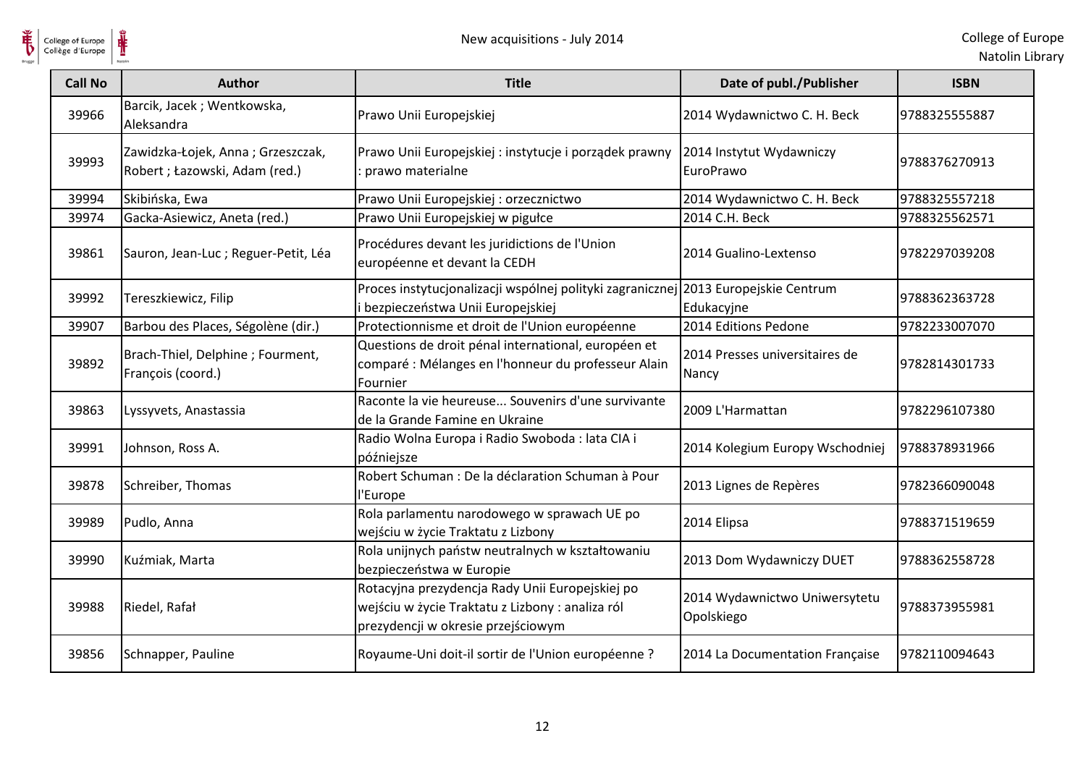

| College of Europe<br>Collège d'Europe | New acquisitions - July 2014                                        |                                                                                                                                           |                                             | College of Eur<br>Natolin Lib |
|---------------------------------------|---------------------------------------------------------------------|-------------------------------------------------------------------------------------------------------------------------------------------|---------------------------------------------|-------------------------------|
| <b>Call No</b>                        | <b>Author</b>                                                       | <b>Title</b>                                                                                                                              | Date of publ./Publisher                     | <b>ISBN</b>                   |
| 39966                                 | Barcik, Jacek; Wentkowska,<br>Aleksandra                            | Prawo Unii Europejskiej                                                                                                                   | 2014 Wydawnictwo C. H. Beck                 | 9788325555887                 |
| 39993                                 | Zawidzka-Łojek, Anna; Grzeszczak,<br>Robert ; Łazowski, Adam (red.) | Prawo Unii Europejskiej: instytucje i porządek prawny<br>prawo materialne                                                                 | 2014 Instytut Wydawniczy<br>EuroPrawo       | 9788376270913                 |
| 39994                                 | Skibińska, Ewa                                                      | Prawo Unii Europejskiej : orzecznictwo                                                                                                    | 2014 Wydawnictwo C. H. Beck                 | 9788325557218                 |
| 39974                                 | Gacka-Asiewicz, Aneta (red.)                                        | Prawo Unii Europejskiej w pigułce                                                                                                         | 2014 C.H. Beck                              | 9788325562571                 |
| 39861                                 | Sauron, Jean-Luc ; Reguer-Petit, Léa                                | Procédures devant les juridictions de l'Union<br>européenne et devant la CEDH                                                             | 2014 Gualino-Lextenso                       | 9782297039208                 |
| 39992                                 | Tereszkiewicz, Filip                                                | Proces instytucjonalizacji wspólnej polityki zagranicznej 2013 Europejskie Centrum<br>bezpieczeństwa Unii Europejskiej                    | Edukacyjne                                  | 9788362363728                 |
| 39907                                 | Barbou des Places, Ségolène (dir.)                                  | Protectionnisme et droit de l'Union européenne                                                                                            | 2014 Editions Pedone                        | 9782233007070                 |
| 39892                                 | Brach-Thiel, Delphine; Fourment,<br>François (coord.)               | Questions de droit pénal international, européen et<br>comparé : Mélanges en l'honneur du professeur Alain<br>Fournier                    | 2014 Presses universitaires de<br>Nancy     | 9782814301733                 |
| 39863                                 | Lyssyvets, Anastassia                                               | Raconte la vie heureuse Souvenirs d'une survivante<br>de la Grande Famine en Ukraine                                                      | 2009 L'Harmattan                            | 9782296107380                 |
| 39991                                 | Johnson, Ross A.                                                    | Radio Wolna Europa i Radio Swoboda : lata CIA i<br>późniejsze                                                                             | 2014 Kolegium Europy Wschodniej             | 9788378931966                 |
| 39878                                 | Schreiber, Thomas                                                   | Robert Schuman : De la déclaration Schuman à Pour<br>l'Europe                                                                             | 2013 Lignes de Repères                      | 9782366090048                 |
| 39989                                 | Pudlo, Anna                                                         | Rola parlamentu narodowego w sprawach UE po<br>wejściu w życie Traktatu z Lizbony                                                         | 2014 Elipsa                                 | 9788371519659                 |
| 39990                                 | Kuźmiak, Marta                                                      | Rola unijnych państw neutralnych w kształtowaniu<br>bezpieczeństwa w Europie                                                              | 2013 Dom Wydawniczy DUET                    | 9788362558728                 |
| 39988                                 | Riedel, Rafał                                                       | Rotacyjna prezydencja Rady Unii Europejskiej po<br>wejściu w życie Traktatu z Lizbony : analiza ról<br>prezydencji w okresie przejściowym | 2014 Wydawnictwo Uniwersytetu<br>Opolskiego | 9788373955981                 |
| 39856                                 | Schnapper, Pauline                                                  | Royaume-Uni doit-il sortir de l'Union européenne ?                                                                                        | 2014 La Documentation Française             | 9782110094643                 |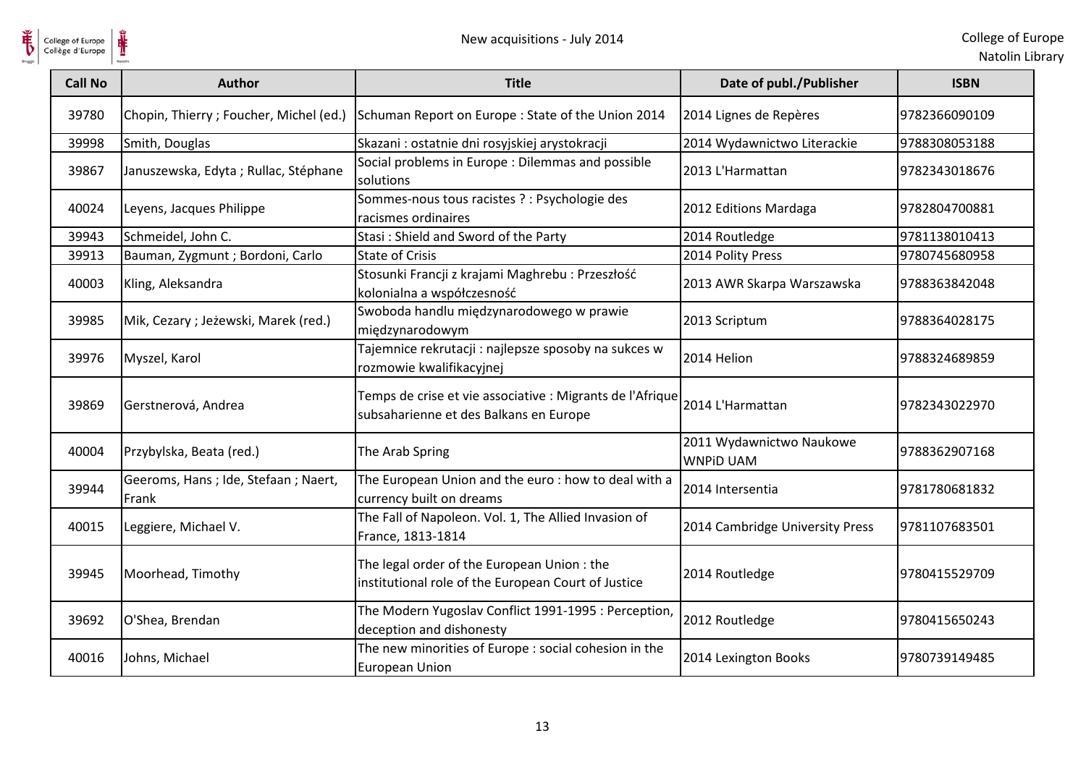

| College of Europe<br>Collège d'Europe | New acquisitions - July 2014                 |                                                                                                     |                                              | College of Eur<br>Natolin Lib |
|---------------------------------------|----------------------------------------------|-----------------------------------------------------------------------------------------------------|----------------------------------------------|-------------------------------|
| <b>Call No</b>                        | <b>Author</b>                                | <b>Title</b>                                                                                        | Date of publ./Publisher                      | <b>ISBN</b>                   |
| 39780                                 | Chopin, Thierry ; Foucher, Michel (ed.)      | Schuman Report on Europe : State of the Union 2014                                                  | 2014 Lignes de Repères                       | 9782366090109                 |
| 39998                                 | Smith, Douglas                               | Skazani : ostatnie dni rosyjskiej arystokracji                                                      | 2014 Wydawnictwo Literackie                  | 9788308053188                 |
| 39867                                 | Januszewska, Edyta; Rullac, Stéphane         | Social problems in Europe : Dilemmas and possible<br>solutions                                      | 2013 L'Harmattan                             | 9782343018676                 |
| 40024                                 | Leyens, Jacques Philippe                     | Sommes-nous tous racistes ? : Psychologie des<br>racismes ordinaires                                | 2012 Editions Mardaga                        | 9782804700881                 |
| 39943                                 | Schmeidel, John C.                           | Stasi: Shield and Sword of the Party                                                                | 2014 Routledge                               | 9781138010413                 |
| 39913                                 | Bauman, Zygmunt ; Bordoni, Carlo             | <b>State of Crisis</b>                                                                              | 2014 Polity Press                            | 9780745680958                 |
| 40003                                 | Kling, Aleksandra                            | Stosunki Francji z krajami Maghrebu : Przeszłość<br>kolonialna a współczesność                      | 2013 AWR Skarpa Warszawska                   | 9788363842048                 |
| 39985                                 | Mik, Cezary; Jeżewski, Marek (red.)          | Swoboda handlu międzynarodowego w prawie<br>międzynarodowym                                         | 2013 Scriptum                                | 9788364028175                 |
| 39976                                 | Myszel, Karol                                | Tajemnice rekrutacji : najlepsze sposoby na sukces w<br>rozmowie kwalifikacyjnej                    | 2014 Helion                                  | 9788324689859                 |
| 39869                                 | Gerstnerová, Andrea                          | Temps de crise et vie associative : Migrants de l'Afrique<br>subsaharienne et des Balkans en Europe | 2014 L'Harmattan                             | 9782343022970                 |
| 40004                                 | Przybylska, Beata (red.)                     | The Arab Spring                                                                                     | 2011 Wydawnictwo Naukowe<br><b>WNPID UAM</b> | 9788362907168                 |
| 39944                                 | Geeroms, Hans; Ide, Stefaan; Naert,<br>Frank | The European Union and the euro: how to deal with a<br>currency built on dreams                     | 2014 Intersentia                             | 9781780681832                 |
| 40015                                 | Leggiere, Michael V.                         | The Fall of Napoleon. Vol. 1, The Allied Invasion of<br>France, 1813-1814                           | 2014 Cambridge University Press              | 9781107683501                 |
| 39945                                 | Moorhead, Timothy                            | The legal order of the European Union: the<br>institutional role of the European Court of Justice   | 2014 Routledge                               | 9780415529709                 |
| 39692                                 | O'Shea, Brendan                              | The Modern Yugoslav Conflict 1991-1995 : Perception,<br>deception and dishonesty                    | 2012 Routledge                               | 9780415650243                 |
| 40016                                 | Johns, Michael                               | The new minorities of Europe : social cohesion in the<br>European Union                             | 2014 Lexington Books                         | 9780739149485                 |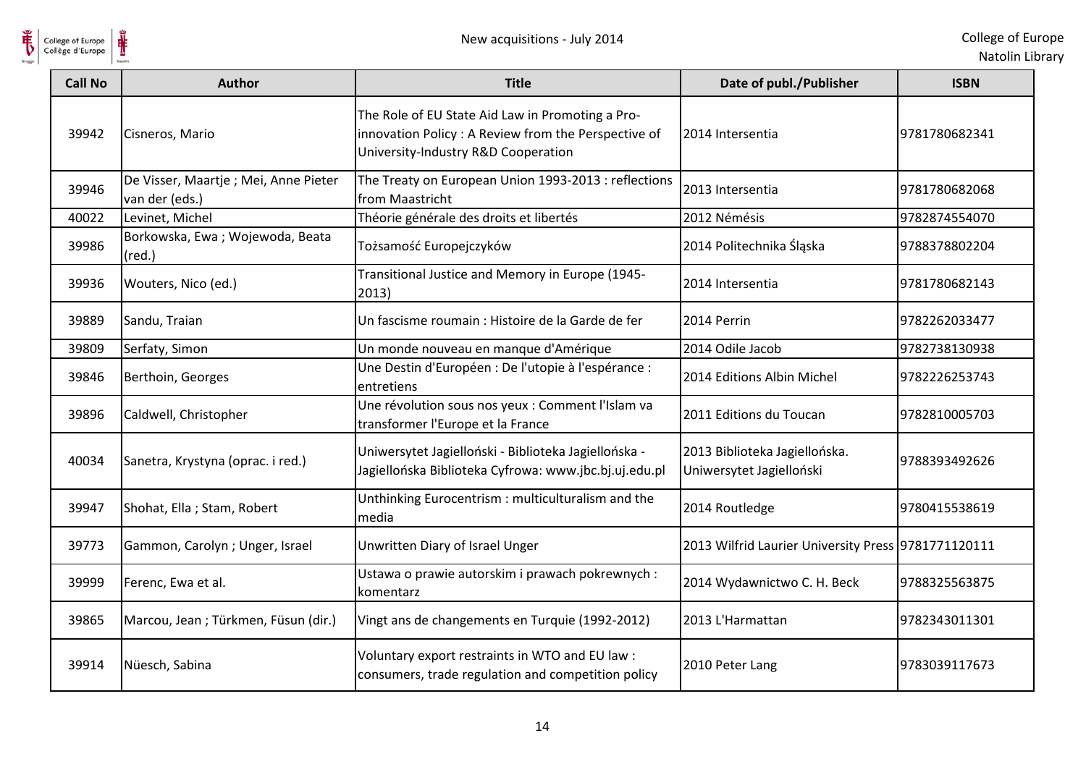

| College of Europe<br>Collège d'Europe | New acquisitions - July 2014                            |                                                                                                                                                 |                                                           | College of Eur<br>Natolin Lib |
|---------------------------------------|---------------------------------------------------------|-------------------------------------------------------------------------------------------------------------------------------------------------|-----------------------------------------------------------|-------------------------------|
| <b>Call No</b>                        | <b>Author</b>                                           | <b>Title</b>                                                                                                                                    | Date of publ./Publisher                                   | <b>ISBN</b>                   |
| 39942                                 | Cisneros, Mario                                         | The Role of EU State Aid Law in Promoting a Pro-<br>innovation Policy : A Review from the Perspective of<br>University-Industry R&D Cooperation | 2014 Intersentia                                          | 9781780682341                 |
| 39946                                 | De Visser, Maartje ; Mei, Anne Pieter<br>van der (eds.) | The Treaty on European Union 1993-2013 : reflections<br>from Maastricht                                                                         | 2013 Intersentia                                          | 9781780682068                 |
| 40022                                 | Levinet, Michel                                         | Théorie générale des droits et libertés                                                                                                         | 2012 Némésis                                              | 9782874554070                 |
| 39986                                 | Borkowska, Ewa; Wojewoda, Beata<br>$(\text{red.})$      | Tożsamość Europejczyków                                                                                                                         | 2014 Politechnika Śląska                                  | 9788378802204                 |
| 39936                                 | Wouters, Nico (ed.)                                     | Transitional Justice and Memory in Europe (1945-<br>2013)                                                                                       | 2014 Intersentia                                          | 9781780682143                 |
| 39889                                 | Sandu, Traian                                           | Un fascisme roumain : Histoire de la Garde de fer                                                                                               | 2014 Perrin                                               | 9782262033477                 |
| 39809                                 | Serfaty, Simon                                          | Un monde nouveau en manque d'Amérique                                                                                                           | 2014 Odile Jacob                                          | 9782738130938                 |
| 39846                                 | Berthoin, Georges                                       | Une Destin d'Européen : De l'utopie à l'espérance :<br>entretiens                                                                               | 2014 Editions Albin Michel                                | 9782226253743                 |
| 39896                                 | Caldwell, Christopher                                   | Une révolution sous nos yeux : Comment l'Islam va<br>transformer l'Europe et la France                                                          | 2011 Editions du Toucan                                   | 9782810005703                 |
| 40034                                 | Sanetra, Krystyna (oprac. i red.)                       | Uniwersytet Jagielloński - Biblioteka Jagiellońska -<br>Jagiellońska Biblioteka Cyfrowa: www.jbc.bj.uj.edu.pl                                   | 2013 Biblioteka Jagiellońska.<br>Uniwersytet Jagielloński | 9788393492626                 |
| 39947                                 | Shohat, Ella; Stam, Robert                              | Unthinking Eurocentrism : multiculturalism and the<br>media                                                                                     | 2014 Routledge                                            | 9780415538619                 |
| 39773                                 | Gammon, Carolyn; Unger, Israel                          | Unwritten Diary of Israel Unger                                                                                                                 | 2013 Wilfrid Laurier University Press 9781771120111       |                               |
| 39999                                 | Ferenc, Ewa et al.                                      | Ustawa o prawie autorskim i prawach pokrewnych :<br>komentarz                                                                                   | 2014 Wydawnictwo C. H. Beck                               | 9788325563875                 |
| 39865                                 | Marcou, Jean; Türkmen, Füsun (dir.)                     | Vingt ans de changements en Turquie (1992-2012)                                                                                                 | 2013 L'Harmattan                                          | 9782343011301                 |
| 39914                                 | Nüesch, Sabina                                          | Voluntary export restraints in WTO and EU law :<br>consumers, trade regulation and competition policy                                           | 2010 Peter Lang                                           | 9783039117673                 |